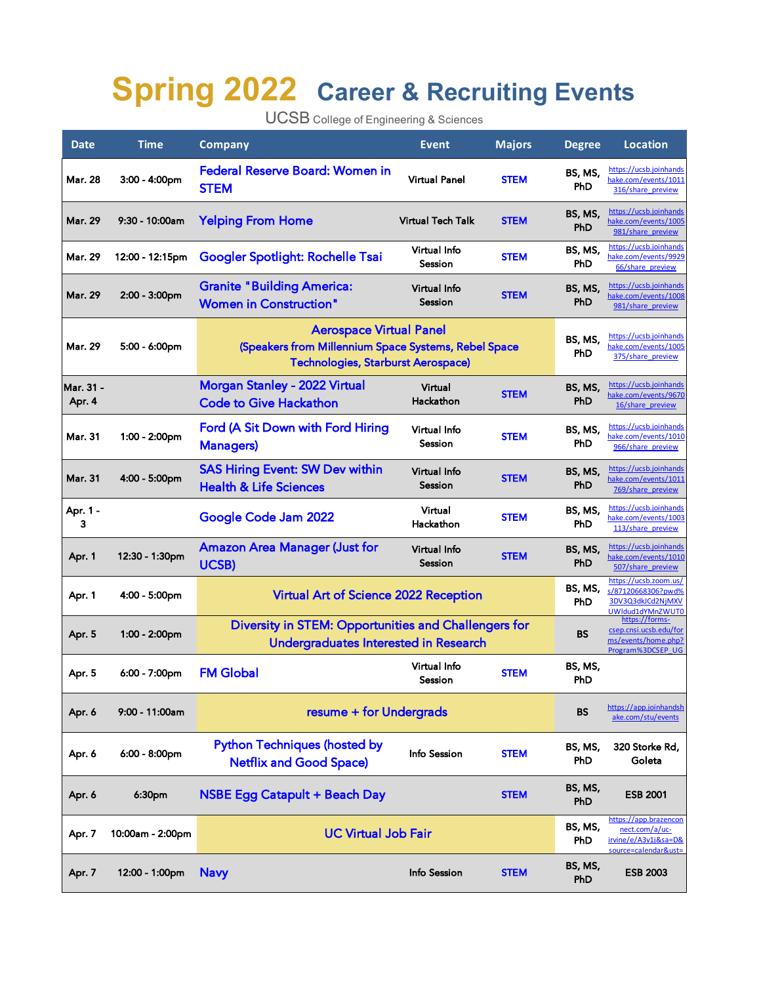## **Spring 2022 Career & Recruiting Events**

UCSB College of Engineering & Sciences

| <b>Date</b>         | <b>Time</b>      | <b>Company</b>                                                                                                                      | <b>Event</b>             | <b>Majors</b> | <b>Degree</b>  | <b>Location</b>                                                                         |
|---------------------|------------------|-------------------------------------------------------------------------------------------------------------------------------------|--------------------------|---------------|----------------|-----------------------------------------------------------------------------------------|
| <b>Mar. 28</b>      | 3:00 - 4:00pm    | <b>Federal Reserve Board: Women in</b><br><b>STEM</b>                                                                               | <b>Virtual Panel</b>     | <b>STEM</b>   | BS, MS,<br>PhD | https://ucsb.joinhands<br>hake.com/events/1011<br>316/share preview                     |
| <b>Mar. 29</b>      | 9:30 - 10:00am   | <b>Yelping From Home</b>                                                                                                            | <b>Virtual Tech Talk</b> | <b>STEM</b>   | BS, MS,<br>PhD | https://ucsb.joinhands<br>hake.com/events/1005<br>981/share preview                     |
| <b>Mar. 29</b>      | 12:00 - 12:15pm  | <b>Googler Spotlight: Rochelle Tsai</b>                                                                                             | Virtual Info<br>Session  | <b>STEM</b>   | BS, MS,<br>PhD | https://ucsb.joinhands<br>hake.com/events/9929<br>66/share preview                      |
| <b>Mar. 29</b>      | 2:00 - 3:00pm    | <b>Granite "Building America:</b><br><b>Women in Construction"</b>                                                                  | Virtual Info<br>Session  | <b>STEM</b>   | BS, MS,<br>PhD | https://ucsb.joinhands<br>hake.com/events/1008<br>981/share preview                     |
| <b>Mar. 29</b>      | 5:00 - 6:00pm    | <b>Aerospace Virtual Panel</b><br>(Speakers from Millennium Space Systems, Rebel Space<br><b>Technologies, Starburst Aerospace)</b> |                          |               | BS, MS,<br>PhD | https://ucsb.joinhands<br>hake.com/events/1005<br>375/share preview                     |
| Mar. 31 -<br>Apr. 4 |                  | <b>Morgan Stanley - 2022 Virtual</b><br><b>Code to Give Hackathon</b>                                                               | Virtual<br>Hackathon     | <b>STEM</b>   | BS, MS,<br>PhD | https://ucsb.joinhands<br>hake.com/events/9670<br>16/share preview                      |
| Mar. 31             | 1:00 - 2:00pm    | Ford (A Sit Down with Ford Hiring<br><b>Managers</b> )                                                                              | Virtual Info<br>Session  | <b>STEM</b>   | BS, MS,<br>PhD | https://ucsb.joinhands<br>hake.com/events/1010<br>966/share preview                     |
| <b>Mar. 31</b>      | 4:00 - 5:00pm    | <b>SAS Hiring Event: SW Dev within</b><br><b>Health &amp; Life Sciences</b>                                                         | Virtual Info<br>Session  | <b>STEM</b>   | BS, MS,<br>PhD | https://ucsb.joinhands<br>hake.com/events/1011<br>769/share preview                     |
| Apr. 1 -<br>3       |                  | Google Code Jam 2022                                                                                                                | Virtual<br>Hackathon     | <b>STEM</b>   | BS, MS,<br>PhD | https://ucsb.joinhands<br>hake.com/events/1003<br>113/share preview                     |
| Apr. 1              | 12:30 - 1:30pm   | <b>Amazon Area Manager (Just for</b><br><b>UCSB)</b>                                                                                | Virtual Info<br>Session  | <b>STEM</b>   | BS, MS,<br>PhD | https://ucsb.joinhands<br>hake.com/events/1010<br>507/share preview                     |
| Apr. 1              | 4:00 - 5:00pm    | Virtual Art of Science 2022 Reception                                                                                               |                          |               | BS, MS,<br>PhD | https://ucsb.zoom.us/<br>s/87120668306?pwd%<br>3DV3Q3dkJCd2NjMXV<br>UWIdud1dYMnZWUT0    |
| Apr. 5              | 1:00 - 2:00pm    | Diversity in STEM: Opportunities and Challengers for<br>Undergraduates Interested in Research                                       |                          |               | BS             | https://forms-<br>csep.cnsi.ucsb.edu/for<br>ms/events/home.php?<br>Program%3DCSEP UG    |
| Apr. 5              | 6:00 - 7:00pm    | <b>FM Global</b>                                                                                                                    | Virtual Info<br>Session  | <b>STEM</b>   | BS, MS,<br>PhD |                                                                                         |
| Apr. 6              | 9:00 - 11:00am   | resume + for Undergrads                                                                                                             |                          |               | <b>BS</b>      | https://app.joinhandsh<br>ake.com/stu/events                                            |
| Apr. 6              | 6:00 - 8:00pm    | <b>Python Techniques (hosted by</b><br><b>Netflix and Good Space)</b>                                                               | Info Session             | <b>STEM</b>   | BS, MS,<br>PhD | 320 Storke Rd,<br>Goleta                                                                |
| Apr. 6              | 6:30pm           | <b>NSBE Egg Catapult + Beach Day</b>                                                                                                |                          | <b>STEM</b>   | BS, MS,<br>PhD | <b>ESB 2001</b>                                                                         |
| Apr. 7              | 10:00am - 2:00pm | <b>UC Virtual Job Fair</b>                                                                                                          |                          |               | BS, MS,<br>PhD | https://app.brazencon<br>nect.com/a/uc-<br>irvine/e/A3v1j&sa=D&<br>source=calendar&ust= |
| Apr. 7              | 12:00 - 1:00pm   | <b>Navy</b>                                                                                                                         | Info Session             | <b>STEM</b>   | BS, MS,<br>PhD | <b>ESB 2003</b>                                                                         |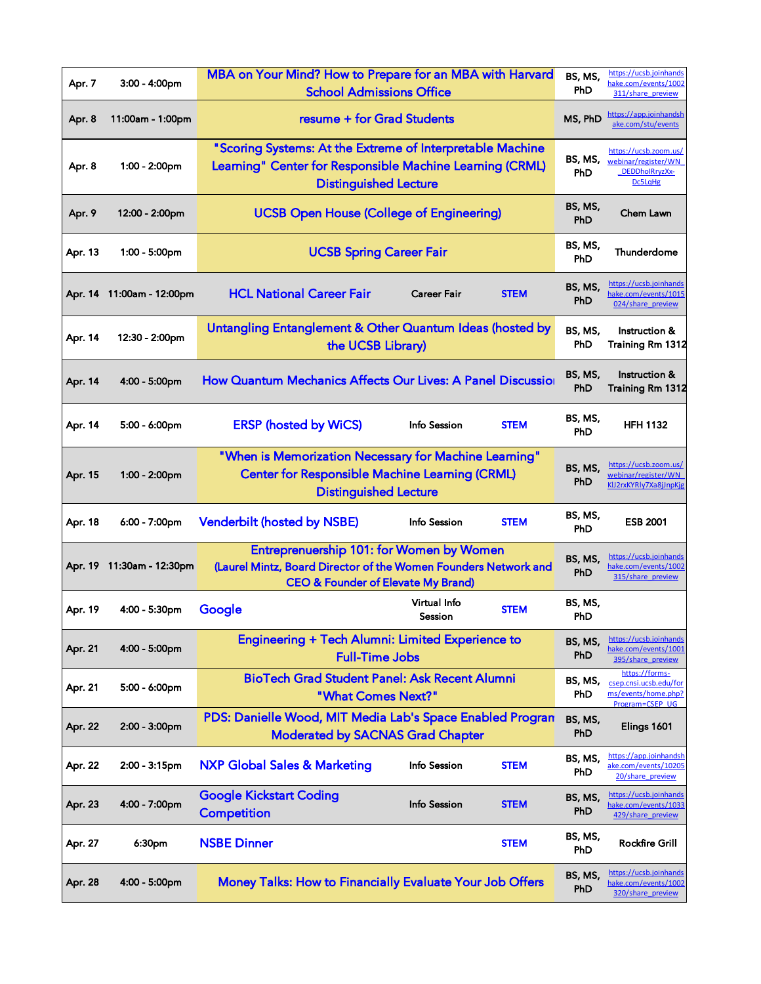| Apr. 7  | 3:00 - 4:00pm             | MBA on Your Mind? How to Prepare for an MBA with Harvard<br><b>School Admissions Office</b>                                                                  |                         |             | BS, MS,<br><b>PhD</b> | https://ucsb.joinhands<br>hake.com/events/1002<br>311/share preview                |
|---------|---------------------------|--------------------------------------------------------------------------------------------------------------------------------------------------------------|-------------------------|-------------|-----------------------|------------------------------------------------------------------------------------|
| Apr. 8  | 11:00am - 1:00pm          | resume + for Grad Students                                                                                                                                   |                         |             | MS, PhD               | https://app.joinhandsh<br>ake.com/stu/events                                       |
| Apr. 8  | 1:00 - 2:00pm             | "Scoring Systems: At the Extreme of Interpretable Machine<br>Learning" Center for Responsible Machine Learning (CRML)<br><b>Distinguished Lecture</b>        |                         |             | BS, MS,<br><b>PhD</b> | https://ucsb.zoom.us/<br>webinar/register/WN<br>DEDDholRryzXx-<br><b>Dc5LaHg</b>   |
| Apr. 9  | 12:00 - 2:00pm            | <b>UCSB Open House (College of Engineering)</b>                                                                                                              |                         |             | BS, MS,<br><b>PhD</b> | Chem Lawn                                                                          |
| Apr. 13 | 1:00 - 5:00pm             | <b>UCSB Spring Career Fair</b>                                                                                                                               |                         |             | BS, MS,<br><b>PhD</b> | Thunderdome                                                                        |
|         | Apr. 14 11:00am - 12:00pm | <b>HCL National Career Fair</b>                                                                                                                              | <b>Career Fair</b>      | <b>STEM</b> | BS, MS,<br>PhD        | https://ucsb.joinhands<br>hake.com/events/1015<br>024/share preview                |
| Apr. 14 | 12:30 - 2:00pm            | Untangling Entanglement & Other Quantum Ideas (hosted by<br>the UCSB Library)                                                                                |                         |             | BS, MS,<br><b>PhD</b> | Instruction &<br><b>Training Rm 1312</b>                                           |
| Apr. 14 | 4:00 - 5:00pm             | How Quantum Mechanics Affects Our Lives: A Panel Discussior                                                                                                  |                         |             | BS, MS,<br><b>PhD</b> | Instruction &<br><b>Training Rm 1312</b>                                           |
| Apr. 14 | $5:00 - 6:00$ pm          | <b>ERSP (hosted by WiCS)</b>                                                                                                                                 | Info Session            | <b>STEM</b> | BS, MS,<br>PhD        | <b>HFH 1132</b>                                                                    |
| Apr. 15 | 1:00 - 2:00pm             | "When is Memorization Necessary for Machine Learning"<br><b>Center for Responsible Machine Learning (CRML)</b><br><b>Distinguished Lecture</b>               |                         |             | BS, MS,<br>PhD        | https://ucsb.zoom.us/<br>webinar/register/WN<br>KlJ2rxKYRly7Xa8jJnpKjg             |
| Apr. 18 | 6:00 - 7:00pm             | <b>Venderbilt (hosted by NSBE)</b>                                                                                                                           | Info Session            | <b>STEM</b> | BS, MS,<br>PhD        | <b>ESB 2001</b>                                                                    |
|         | Apr. 19 11:30am - 12:30pm | Entreprenuership 101: for Women by Women<br>(Laurel Mintz, Board Director of the Women Founders Network and<br><b>CEO &amp; Founder of Elevate My Brand)</b> |                         |             |                       | https://ucsb.joinhands<br>hake.com/events/1002<br>315/share_preview                |
| Apr. 19 | 4:00 - 5:30pm             | Google                                                                                                                                                       | Virtual Info<br>Session | <b>STEM</b> | BS, MS,<br><b>PhD</b> |                                                                                    |
| Apr. 21 | 4:00 - 5:00pm             | Engineering + Tech Alumni: Limited Experience to<br><b>Full-Time Jobs</b>                                                                                    |                         |             | BS, MS,<br><b>PhD</b> | https://ucsb.joinhands<br>hake.com/events/1001<br>395/share preview                |
| Apr. 21 | 5:00 - 6:00pm             | <b>BioTech Grad Student Panel: Ask Recent Alumni</b><br>"What Comes Next?"                                                                                   |                         |             | BS, MS,<br><b>PhD</b> | https://forms-<br>csep.cnsi.ucsb.edu/for<br>ms/events/home.php?<br>Program=CSEP UG |
| Apr. 22 | 2:00 - 3:00pm             | PDS: Danielle Wood, MIT Media Lab's Space Enabled Progran<br><b>Moderated by SACNAS Grad Chapter</b>                                                         |                         |             | BS, MS,<br><b>PhD</b> | Elings 1601                                                                        |
| Apr. 22 | 2:00 - 3:15pm             | <b>NXP Global Sales &amp; Marketing</b>                                                                                                                      | Info Session            | <b>STEM</b> | BS, MS,<br>PhD        | https://app.joinhandsh<br>ake.com/events/10205<br>20/share preview                 |
| Apr. 23 | 4:00 - 7:00pm             | <b>Google Kickstart Coding</b><br><b>Competition</b>                                                                                                         | Info Session            | <b>STEM</b> | BS, MS,<br><b>PhD</b> | https://ucsb.joinhands<br>hake.com/events/1033<br>429/share preview                |
| Apr. 27 | 6:30pm                    | <b>NSBE Dinner</b>                                                                                                                                           |                         | <b>STEM</b> | BS, MS,<br>PhD        | <b>Rockfire Grill</b>                                                              |
| Apr. 28 | 4:00 - 5:00pm             | <b>Money Talks: How to Financially Evaluate Your Job Offers</b>                                                                                              |                         |             | BS, MS,<br><b>PhD</b> | https://ucsb.joinhands<br>hake.com/events/1002<br>320/share preview                |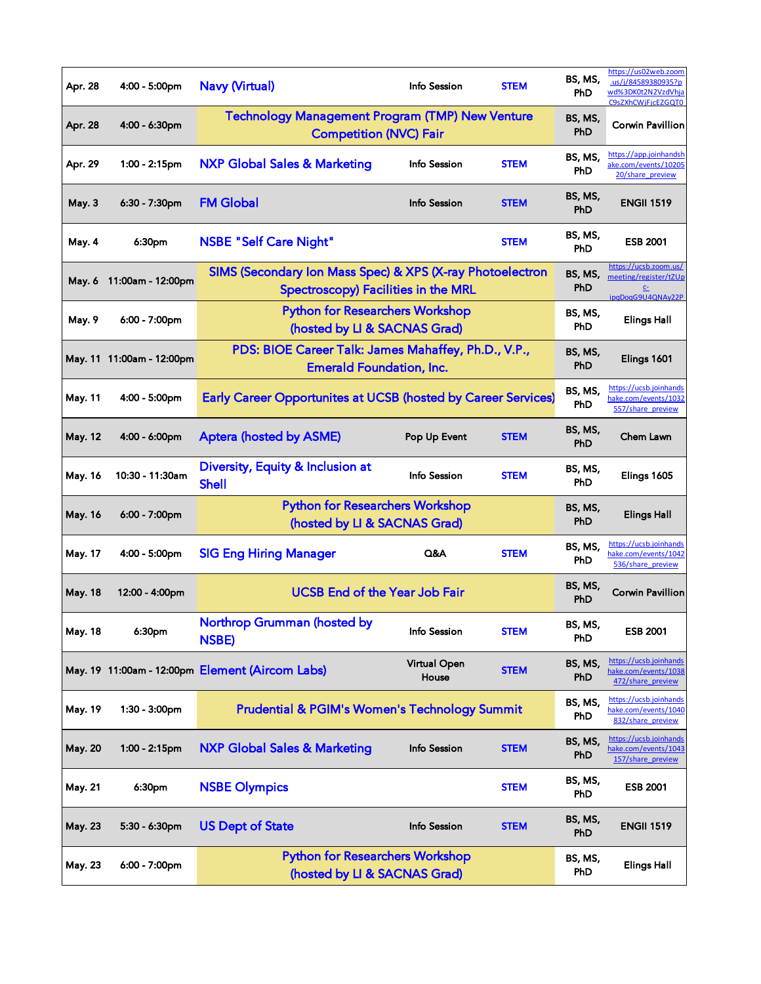| Apr. 28        | 4:00 - 5:00pm             | <b>Navy (Virtual)</b>                                                                            | Info Session          | <b>STEM</b> | BS, MS,<br>PhD        | https://us02web.zoom<br>.us/j/84589380935?p<br>wd%3DK0t2N2VzdVhia<br>C9sZXhCWiFicEZGQT0 |
|----------------|---------------------------|--------------------------------------------------------------------------------------------------|-----------------------|-------------|-----------------------|-----------------------------------------------------------------------------------------|
| Apr. 28        | 4:00 - 6:30pm             | <b>Technology Management Program (TMP) New Venture</b><br><b>Competition (NVC) Fair</b>          |                       |             | BS, MS,<br><b>PhD</b> | <b>Corwin Pavillion</b>                                                                 |
| Apr. 29        | 1:00 - 2:15pm             | <b>NXP Global Sales &amp; Marketing</b>                                                          | Info Session          | <b>STEM</b> | BS, MS,<br><b>PhD</b> | https://app.joinhands<br>ake.com/events/10205<br>20/share preview                       |
| <b>May. 3</b>  | 6:30 - 7:30pm             | <b>FM Global</b>                                                                                 | Info Session          | <b>STEM</b> | BS, MS,<br>PhD        | <b>ENGII 1519</b>                                                                       |
| May. 4         | 6:30pm                    | <b>NSBE "Self Care Night"</b>                                                                    |                       | <b>STEM</b> | BS, MS,<br>PhD        | <b>ESB 2001</b>                                                                         |
|                | May. 6 11:00am - 12:00pm  | SIMS (Secondary Ion Mass Spec) & XPS (X-ray Photoelectron<br>Spectroscopy) Facilities in the MRL |                       |             | BS, MS,<br>PhD        | https://ucsb.zoom.us/<br>meeting/register/tZUp<br>C <sub>2</sub><br>ipgDogG9U4QNAy22P   |
| May. 9         | 6:00 - 7:00pm             | <b>Python for Researchers Workshop</b><br>(hosted by LI & SACNAS Grad)                           |                       |             | BS, MS,<br><b>PhD</b> | <b>Elings Hall</b>                                                                      |
|                | May. 11 11:00am - 12:00pm | PDS: BIOE Career Talk: James Mahaffey, Ph.D., V.P.,<br><b>Emerald Foundation, Inc.</b>           |                       |             | BS, MS,<br>PhD        | Elings 1601                                                                             |
| May. 11        | 4:00 - 5:00pm             | <b>Early Career Opportunites at UCSB (hosted by Career Services)</b>                             |                       |             | BS, MS,<br>PhD        | https://ucsb.joinhands<br>ake.com/events/1032<br>557/share preview                      |
| May. 12        | 4:00 - 6:00pm             | <b>Aptera (hosted by ASME)</b>                                                                   | Pop Up Event          | <b>STEM</b> | BS, MS,<br>PhD        | Chem Lawn                                                                               |
| May. 16        | 10:30 - 11:30am           | Diversity, Equity & Inclusion at<br><b>Shell</b>                                                 | Info Session          | <b>STEM</b> | BS, MS,<br>PhD        | Elings 1605                                                                             |
| May. 16        | 6:00 - 7:00pm             | <b>Python for Researchers Workshop</b><br>(hosted by LI & SACNAS Grad)                           |                       |             | BS, MS,<br><b>PhD</b> | <b>Elings Hall</b>                                                                      |
| May. 17        | 4:00 - 5:00pm             | <b>SIG Eng Hiring Manager</b>                                                                    | Q&A                   | <b>STEM</b> | BS, MS,<br>PhD        | https://ucsb.joinhands<br>nake.com/events/1042<br>536/share preview                     |
| May. 18        | 12:00 - 4:00pm            | <b>UCSB End of the Year Job Fair</b>                                                             |                       |             | BS, MS,<br>PhD        | <b>Corwin Pavillion</b>                                                                 |
| May. 18        | 6:30pm                    | Northrop Grumman (hosted by<br><b>NSBE)</b>                                                      | Info Session          | <b>STEM</b> | BS, MS,<br>PhD        | <b>ESB 2001</b>                                                                         |
|                |                           | May. 19 11:00am - 12:00pm Element (Aircom Labs)                                                  | Virtual Open<br>House | <b>STEM</b> | BS, MS,<br>PhD        | https://ucsb.joinhands<br>hake.com/events/1038<br>472/share preview                     |
| May. 19        | 1:30 - 3:00pm             | <b>Prudential &amp; PGIM's Women's Technology Summit</b>                                         |                       |             | BS, MS,<br>PhD        | https://ucsb.joinhand<br>hake.com/events/1040<br>832/share preview                      |
| May. 20        | $1:00 - 2:15$ pm          | <b>NXP Global Sales &amp; Marketing</b>                                                          | Info Session          | <b>STEM</b> | BS, MS,<br>PhD        | https://ucsb.joinhands<br>hake.com/events/1043<br>157/share preview                     |
| May. 21        | 6:30pm                    | <b>NSBE Olympics</b>                                                                             |                       | <b>STEM</b> | BS, MS,<br>PhD        | <b>ESB 2001</b>                                                                         |
| <b>May. 23</b> | $5:30 - 6:30$ pm          | <b>US Dept of State</b>                                                                          | Info Session          | <b>STEM</b> | BS, MS,<br>PhD        | <b>ENGII 1519</b>                                                                       |
| May. 23        | 6:00 - 7:00pm             | <b>Python for Researchers Workshop</b><br>(hosted by LI & SACNAS Grad)                           |                       |             | BS, MS,<br>PhD        | <b>Elings Hall</b>                                                                      |